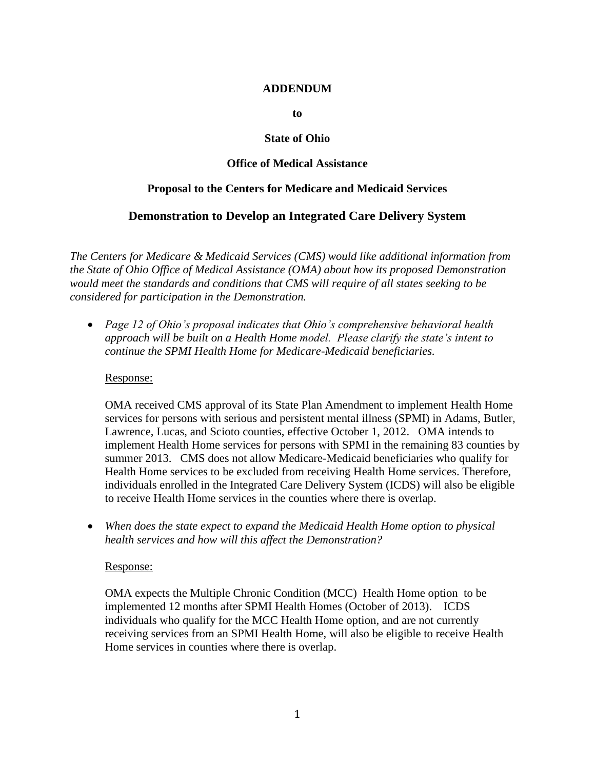#### **ADDENDUM**

**to**

#### **State of Ohio**

## **Office of Medical Assistance**

### **Proposal to the Centers for Medicare and Medicaid Services**

# **Demonstration to Develop an Integrated Care Delivery System**

*The Centers for Medicare & Medicaid Services (CMS) would like additional information from the State of Ohio Office of Medical Assistance (OMA) about how its proposed Demonstration would meet the standards and conditions that CMS will require of all states seeking to be considered for participation in the Demonstration.*

 *Page 12 of Ohio's proposal indicates that Ohio's comprehensive behavioral health approach will be built on a Health Home model. Please clarify the state's intent to continue the SPMI Health Home for Medicare-Medicaid beneficiaries.* 

#### Response:

OMA received CMS approval of its State Plan Amendment to implement Health Home services for persons with serious and persistent mental illness (SPMI) in Adams, Butler, Lawrence, Lucas, and Scioto counties, effective October 1, 2012. OMA intends to implement Health Home services for persons with SPMI in the remaining 83 counties by summer 2013. CMS does not allow Medicare-Medicaid beneficiaries who qualify for Health Home services to be excluded from receiving Health Home services. Therefore, individuals enrolled in the Integrated Care Delivery System (ICDS) will also be eligible to receive Health Home services in the counties where there is overlap.

 *When does the state expect to expand the Medicaid Health Home option to physical health services and how will this affect the Demonstration?* 

#### Response:

OMA expects the Multiple Chronic Condition (MCC) Health Home option to be implemented 12 months after SPMI Health Homes (October of 2013). ICDS individuals who qualify for the MCC Health Home option, and are not currently receiving services from an SPMI Health Home, will also be eligible to receive Health Home services in counties where there is overlap.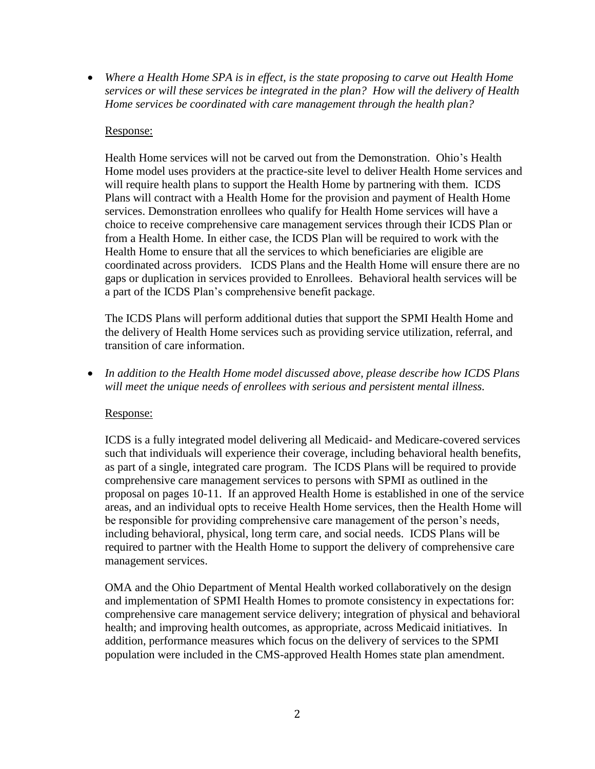*Where a Health Home SPA is in effect, is the state proposing to carve out Health Home services or will these services be integrated in the plan? How will the delivery of Health Home services be coordinated with care management through the health plan?*

## Response:

Health Home services will not be carved out from the Demonstration. Ohio's Health Home model uses providers at the practice-site level to deliver Health Home services and will require health plans to support the Health Home by partnering with them. ICDS Plans will contract with a Health Home for the provision and payment of Health Home services. Demonstration enrollees who qualify for Health Home services will have a choice to receive comprehensive care management services through their ICDS Plan or from a Health Home. In either case, the ICDS Plan will be required to work with the Health Home to ensure that all the services to which beneficiaries are eligible are coordinated across providers. ICDS Plans and the Health Home will ensure there are no gaps or duplication in services provided to Enrollees. Behavioral health services will be a part of the ICDS Plan's comprehensive benefit package.

The ICDS Plans will perform additional duties that support the SPMI Health Home and the delivery of Health Home services such as providing service utilization, referral, and transition of care information.

 *In addition to the Health Home model discussed above, please describe how ICDS Plans will meet the unique needs of enrollees with serious and persistent mental illness.*

### Response:

ICDS is a fully integrated model delivering all Medicaid- and Medicare-covered services such that individuals will experience their coverage, including behavioral health benefits, as part of a single, integrated care program. The ICDS Plans will be required to provide comprehensive care management services to persons with SPMI as outlined in the proposal on pages 10-11. If an approved Health Home is established in one of the service areas, and an individual opts to receive Health Home services, then the Health Home will be responsible for providing comprehensive care management of the person's needs, including behavioral, physical, long term care, and social needs. ICDS Plans will be required to partner with the Health Home to support the delivery of comprehensive care management services.

OMA and the Ohio Department of Mental Health worked collaboratively on the design and implementation of SPMI Health Homes to promote consistency in expectations for: comprehensive care management service delivery; integration of physical and behavioral health; and improving health outcomes, as appropriate, across Medicaid initiatives. In addition, performance measures which focus on the delivery of services to the SPMI population were included in the CMS-approved Health Homes state plan amendment.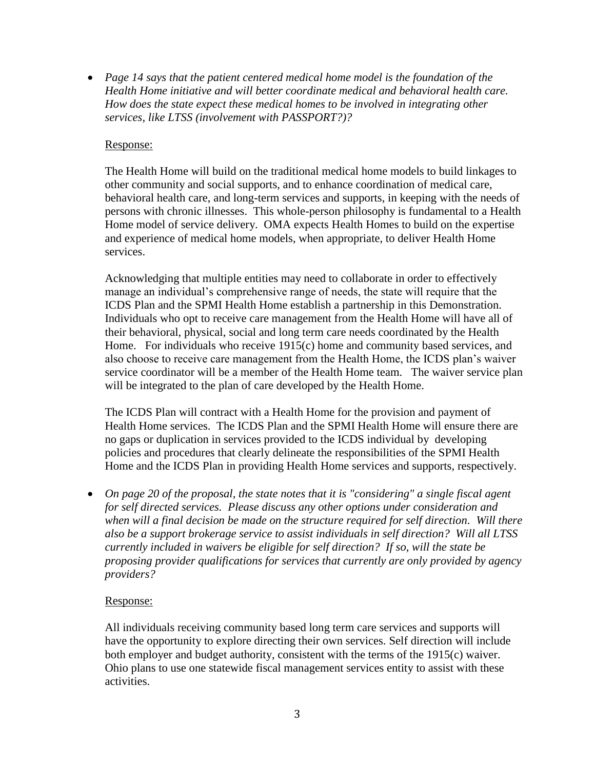*Page 14 says that the patient centered medical home model is the foundation of the Health Home initiative and will better coordinate medical and behavioral health care. How does the state expect these medical homes to be involved in integrating other services, like LTSS (involvement with PASSPORT?)?* 

## Response:

The Health Home will build on the traditional medical home models to build linkages to other community and social supports, and to enhance coordination of medical care, behavioral health care, and long-term services and supports, in keeping with the needs of persons with chronic illnesses. This whole-person philosophy is fundamental to a Health Home model of service delivery. OMA expects Health Homes to build on the expertise and experience of medical home models, when appropriate, to deliver Health Home services.

Acknowledging that multiple entities may need to collaborate in order to effectively manage an individual's comprehensive range of needs, the state will require that the ICDS Plan and the SPMI Health Home establish a partnership in this Demonstration. Individuals who opt to receive care management from the Health Home will have all of their behavioral, physical, social and long term care needs coordinated by the Health Home. For individuals who receive 1915(c) home and community based services, and also choose to receive care management from the Health Home, the ICDS plan's waiver service coordinator will be a member of the Health Home team. The waiver service plan will be integrated to the plan of care developed by the Health Home.

The ICDS Plan will contract with a Health Home for the provision and payment of Health Home services. The ICDS Plan and the SPMI Health Home will ensure there are no gaps or duplication in services provided to the ICDS individual by developing policies and procedures that clearly delineate the responsibilities of the SPMI Health Home and the ICDS Plan in providing Health Home services and supports, respectively.

 *On page 20 of the proposal, the state notes that it is "considering" a single fiscal agent for self directed services. Please discuss any other options under consideration and when will a final decision be made on the structure required for self direction. Will there also be a support brokerage service to assist individuals in self direction? Will all LTSS currently included in waivers be eligible for self direction? If so, will the state be proposing provider qualifications for services that currently are only provided by agency providers?*

### Response:

All individuals receiving community based long term care services and supports will have the opportunity to explore directing their own services. Self direction will include both employer and budget authority, consistent with the terms of the 1915(c) waiver. Ohio plans to use one statewide fiscal management services entity to assist with these activities.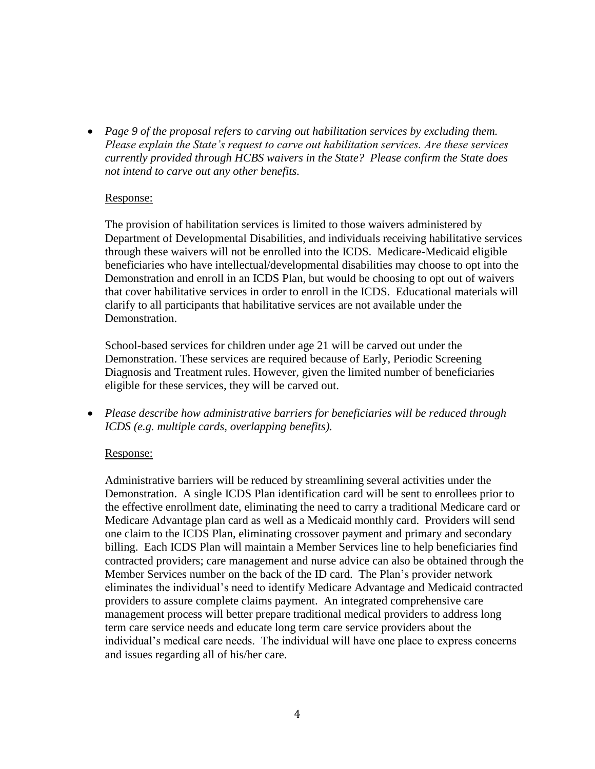*Page 9 of the proposal refers to carving out habilitation services by excluding them. Please explain the State's request to carve out habilitation services. Are these services currently provided through HCBS waivers in the State? Please confirm the State does not intend to carve out any other benefits.*

#### Response:

The provision of habilitation services is limited to those waivers administered by Department of Developmental Disabilities, and individuals receiving habilitative services through these waivers will not be enrolled into the ICDS. Medicare-Medicaid eligible beneficiaries who have intellectual/developmental disabilities may choose to opt into the Demonstration and enroll in an ICDS Plan, but would be choosing to opt out of waivers that cover habilitative services in order to enroll in the ICDS. Educational materials will clarify to all participants that habilitative services are not available under the Demonstration.

School-based services for children under age 21 will be carved out under the Demonstration. These services are required because of Early, Periodic Screening Diagnosis and Treatment rules. However, given the limited number of beneficiaries eligible for these services, they will be carved out.

 *Please describe how administrative barriers for beneficiaries will be reduced through ICDS (e.g. multiple cards, overlapping benefits).*

### Response:

Administrative barriers will be reduced by streamlining several activities under the Demonstration. A single ICDS Plan identification card will be sent to enrollees prior to the effective enrollment date, eliminating the need to carry a traditional Medicare card or Medicare Advantage plan card as well as a Medicaid monthly card. Providers will send one claim to the ICDS Plan, eliminating crossover payment and primary and secondary billing. Each ICDS Plan will maintain a Member Services line to help beneficiaries find contracted providers; care management and nurse advice can also be obtained through the Member Services number on the back of the ID card. The Plan's provider network eliminates the individual's need to identify Medicare Advantage and Medicaid contracted providers to assure complete claims payment. An integrated comprehensive care management process will better prepare traditional medical providers to address long term care service needs and educate long term care service providers about the individual's medical care needs. The individual will have one place to express concerns and issues regarding all of his/her care.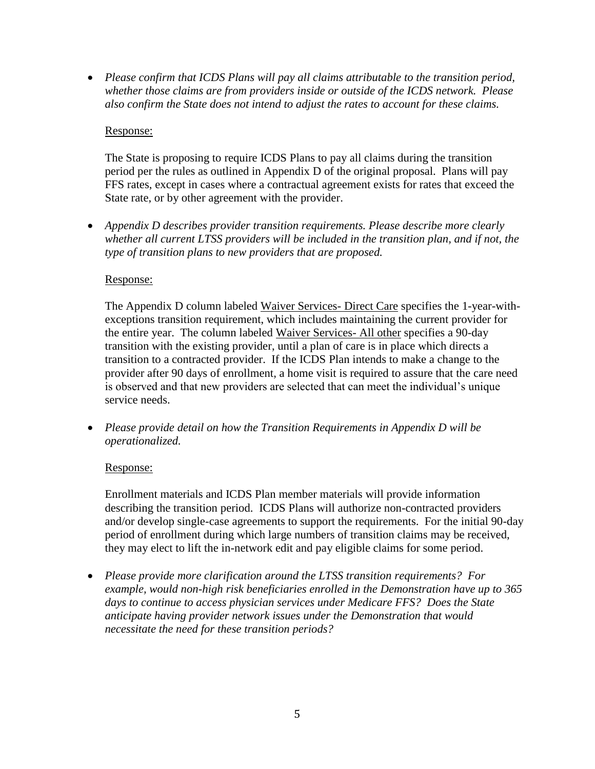*Please confirm that ICDS Plans will pay all claims attributable to the transition period, whether those claims are from providers inside or outside of the ICDS network. Please also confirm the State does not intend to adjust the rates to account for these claims.*

# Response:

The State is proposing to require ICDS Plans to pay all claims during the transition period per the rules as outlined in Appendix D of the original proposal. Plans will pay FFS rates, except in cases where a contractual agreement exists for rates that exceed the State rate, or by other agreement with the provider.

 *Appendix D describes provider transition requirements. Please describe more clearly whether all current LTSS providers will be included in the transition plan, and if not, the type of transition plans to new providers that are proposed.*

### Response:

The Appendix D column labeled Waiver Services- Direct Care specifies the 1-year-withexceptions transition requirement, which includes maintaining the current provider for the entire year. The column labeled Waiver Services- All other specifies a 90-day transition with the existing provider, until a plan of care is in place which directs a transition to a contracted provider. If the ICDS Plan intends to make a change to the provider after 90 days of enrollment, a home visit is required to assure that the care need is observed and that new providers are selected that can meet the individual's unique service needs.

 *Please provide detail on how the Transition Requirements in Appendix D will be operationalized.*

# Response:

Enrollment materials and ICDS Plan member materials will provide information describing the transition period. ICDS Plans will authorize non-contracted providers and/or develop single-case agreements to support the requirements. For the initial 90-day period of enrollment during which large numbers of transition claims may be received, they may elect to lift the in-network edit and pay eligible claims for some period.

 *Please provide more clarification around the LTSS transition requirements? For example, would non-high risk beneficiaries enrolled in the Demonstration have up to 365 days to continue to access physician services under Medicare FFS? Does the State anticipate having provider network issues under the Demonstration that would necessitate the need for these transition periods?*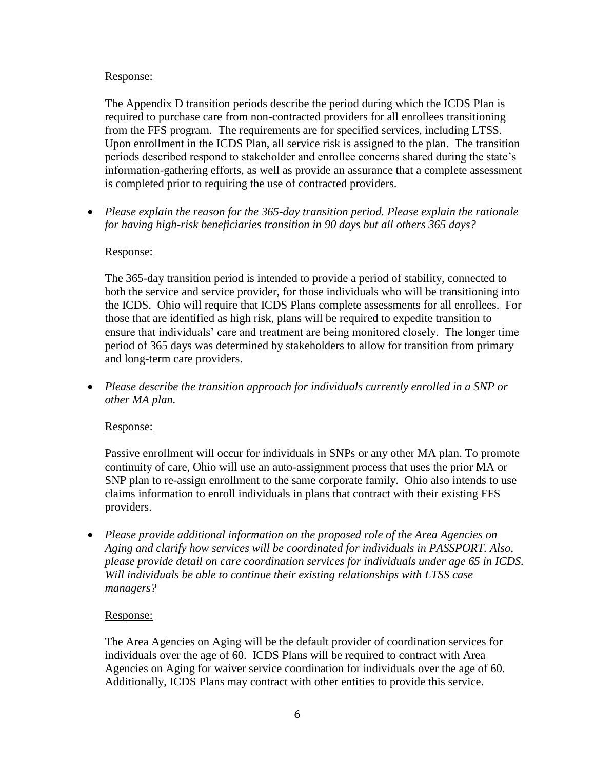## Response:

The Appendix D transition periods describe the period during which the ICDS Plan is required to purchase care from non-contracted providers for all enrollees transitioning from the FFS program. The requirements are for specified services, including LTSS. Upon enrollment in the ICDS Plan, all service risk is assigned to the plan. The transition periods described respond to stakeholder and enrollee concerns shared during the state's information-gathering efforts, as well as provide an assurance that a complete assessment is completed prior to requiring the use of contracted providers.

 *Please explain the reason for the 365-day transition period. Please explain the rationale for having high-risk beneficiaries transition in 90 days but all others 365 days?* 

# Response:

The 365-day transition period is intended to provide a period of stability, connected to both the service and service provider, for those individuals who will be transitioning into the ICDS. Ohio will require that ICDS Plans complete assessments for all enrollees. For those that are identified as high risk, plans will be required to expedite transition to ensure that individuals' care and treatment are being monitored closely. The longer time period of 365 days was determined by stakeholders to allow for transition from primary and long-term care providers.

 *Please describe the transition approach for individuals currently enrolled in a SNP or other MA plan.* 

### Response:

Passive enrollment will occur for individuals in SNPs or any other MA plan. To promote continuity of care, Ohio will use an auto-assignment process that uses the prior MA or SNP plan to re-assign enrollment to the same corporate family. Ohio also intends to use claims information to enroll individuals in plans that contract with their existing FFS providers.

 *Please provide additional information on the proposed role of the Area Agencies on Aging and clarify how services will be coordinated for individuals in PASSPORT. Also, please provide detail on care coordination services for individuals under age 65 in ICDS. Will individuals be able to continue their existing relationships with LTSS case managers?* 

### Response:

The Area Agencies on Aging will be the default provider of coordination services for individuals over the age of 60. ICDS Plans will be required to contract with Area Agencies on Aging for waiver service coordination for individuals over the age of 60. Additionally, ICDS Plans may contract with other entities to provide this service.